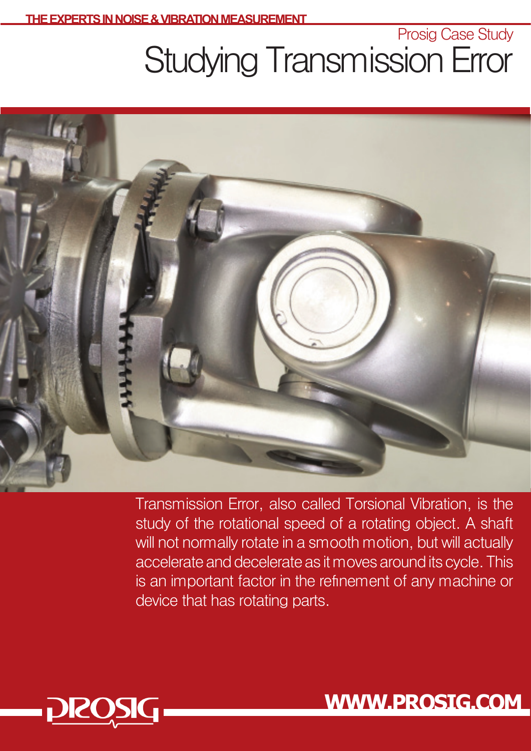Prosig Case Study

## Studying Transmission Error



Transmission Error, also called Torsional Vibration, is the study of the rotational speed of a rotating object. A shaft will not normally rotate in a smooth motion, but will actually accelerate and decelerate as it moves around its cycle. This is an important factor in the refinement of any machine or device that has rotating parts.



**WWW.PROSIG.COM**